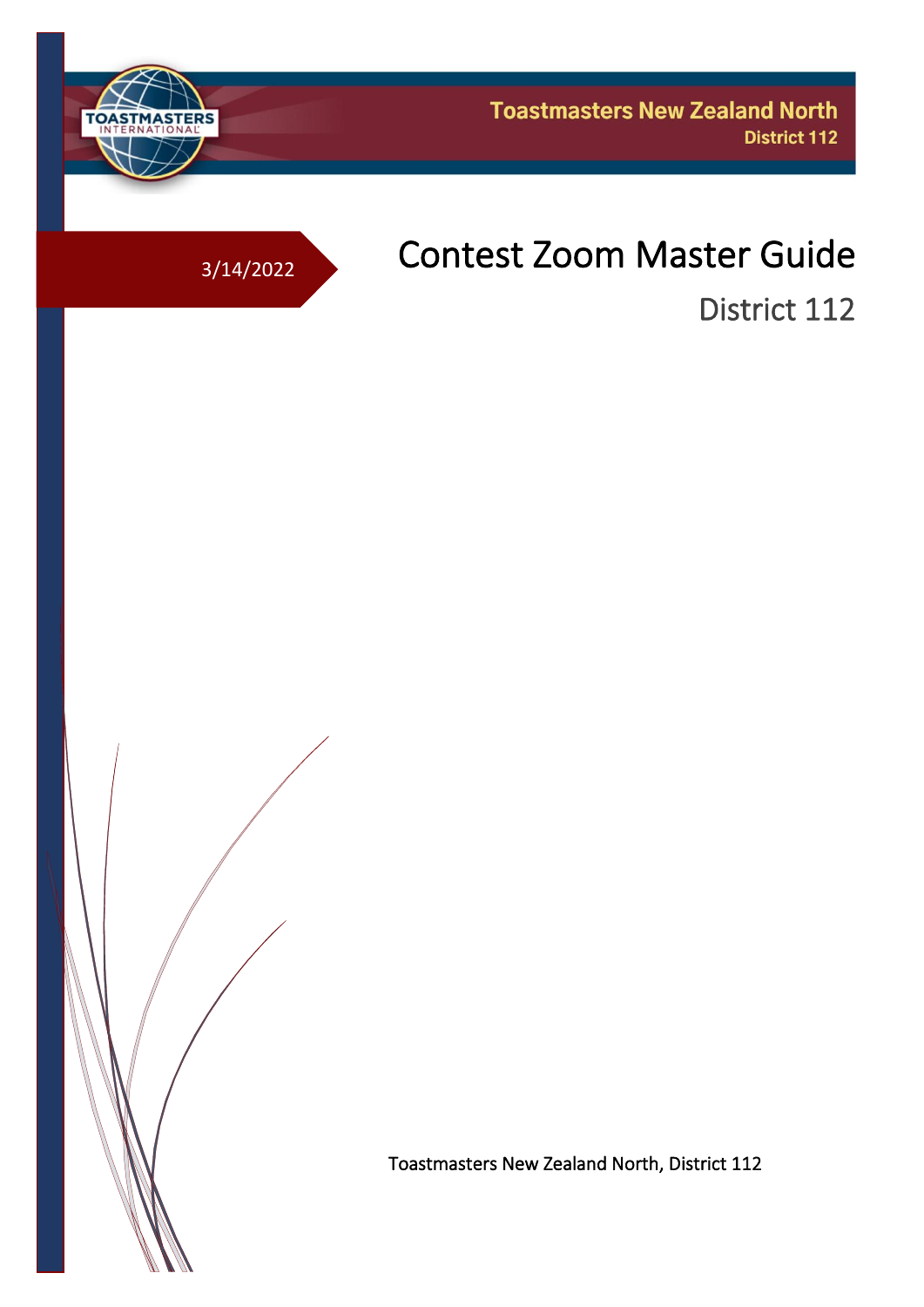

# 3/14/2022 Contest Zoom Master Guide

District 112

Toastmasters New Zealand North, District 112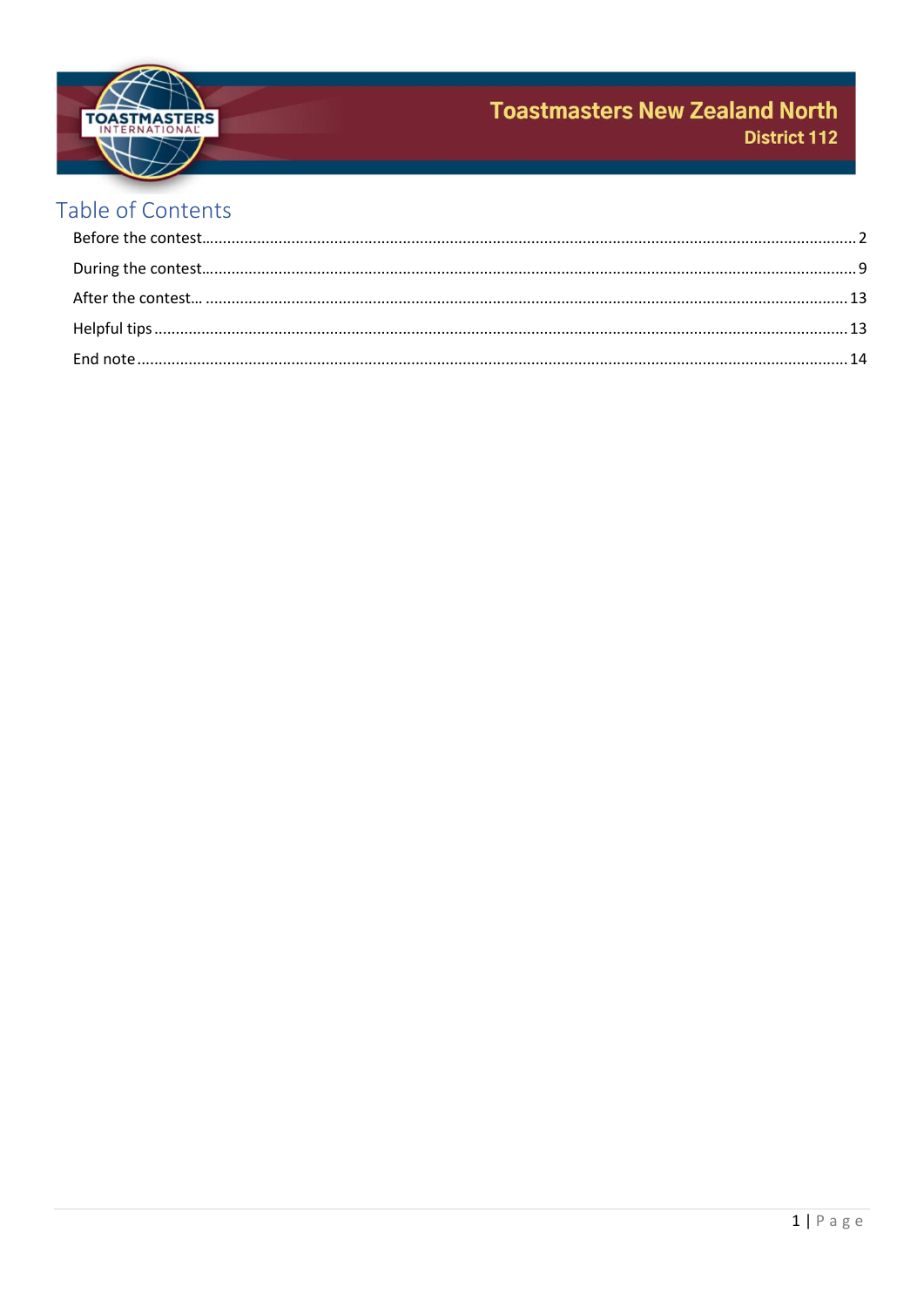

# Table of Contents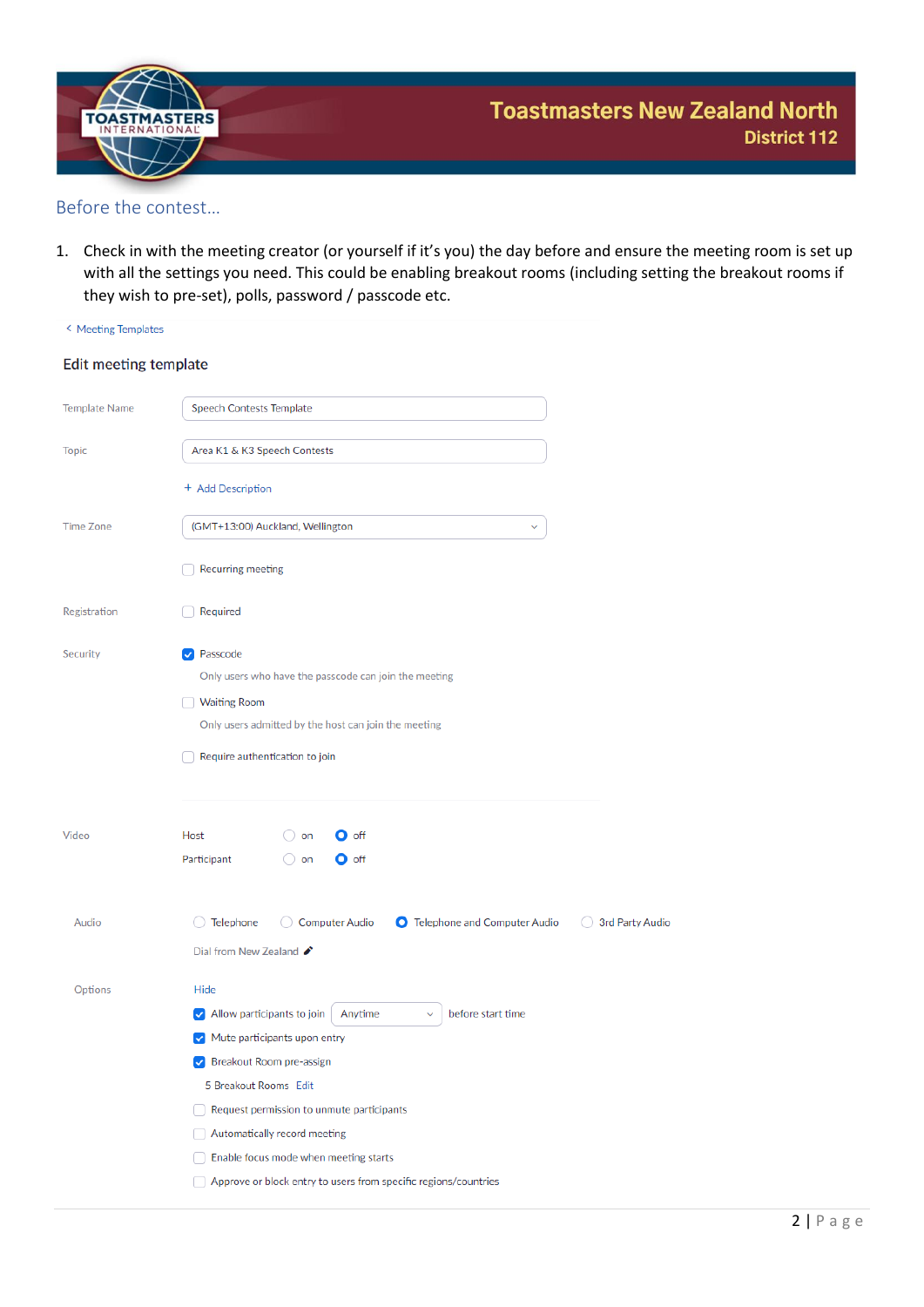

#### <span id="page-2-0"></span>Before the contest…

1. Check in with the meeting creator (or yourself if it's you) the day before and ensure the meeting room is set up with all the settings you need. This could be enabling breakout rooms (including setting the breakout rooms if they wish to pre-set), polls, password / passcode etc.

| < Meeting Templates   | $\cdots$                                                                                                                                                                                                                                                                            |
|-----------------------|-------------------------------------------------------------------------------------------------------------------------------------------------------------------------------------------------------------------------------------------------------------------------------------|
| Edit meeting template |                                                                                                                                                                                                                                                                                     |
| <b>Template Name</b>  | Speech Contests Template                                                                                                                                                                                                                                                            |
| <b>Topic</b>          | Area K1 & K3 Speech Contests                                                                                                                                                                                                                                                        |
|                       | + Add Description                                                                                                                                                                                                                                                                   |
| <b>Time Zone</b>      | (GMT+13:00) Auckland, Wellington<br>$\checkmark$                                                                                                                                                                                                                                    |
|                       | <b>Recurring meeting</b>                                                                                                                                                                                                                                                            |
| Registration          | Required                                                                                                                                                                                                                                                                            |
| Security              | Passcode<br>$\checkmark$<br>Only users who have the passcode can join the meeting<br><b>Waiting Room</b><br>Only users admitted by the host can join the meeting<br>Require authentication to join                                                                                  |
| Video                 | Host<br>$\bullet$ off<br>$\cup$ on<br>Participant<br>$\bigcirc$ on<br>$\bullet$ off                                                                                                                                                                                                 |
| Audio                 | Telephone<br>Computer Audio<br>O Telephone and Computer Audio<br>3rd Party Audio<br>Dial from New Zealand $\bigtriangledown$                                                                                                                                                        |
| Options               | Hide<br>before start time<br>$\vee$ Allow participants to join<br>Anytime<br>Mute participants upon entry<br>$\checkmark$<br>Breakout Room pre-assign<br>$\blacktriangledown$<br>5 Breakout Rooms Edit<br>Request permission to unmute participants<br>Automatically record meeting |
|                       | Enable focus mode when meeting starts<br>Approve or block entry to users from specific regions/countries                                                                                                                                                                            |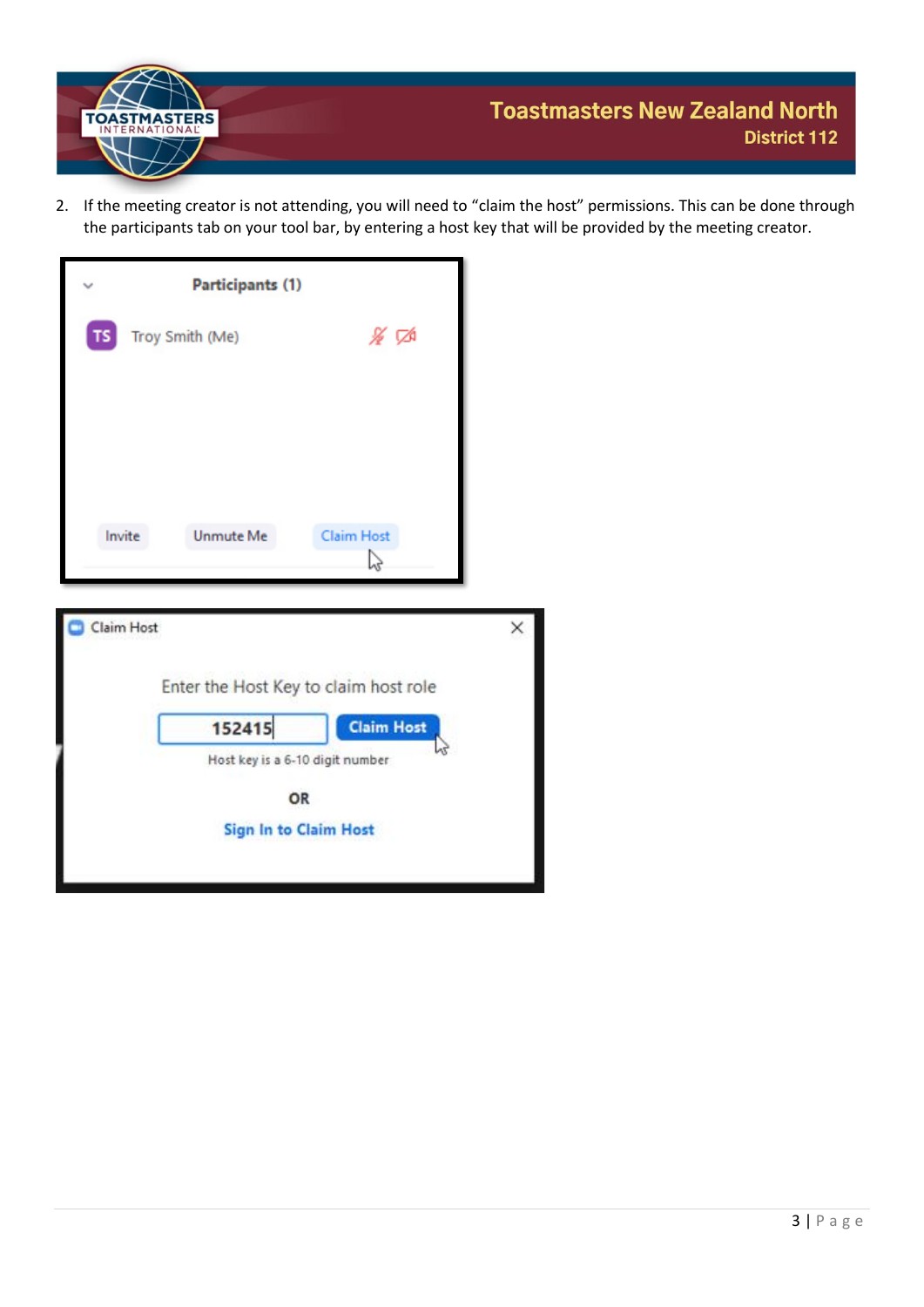

2. If the meeting creator is not attending, you will need to "claim the host" permissions. This can be done through the participants tab on your tool bar, by entering a host key that will be provided by the meeting creator.

|            | Participants (1) |                                                                                                                               |   |
|------------|------------------|-------------------------------------------------------------------------------------------------------------------------------|---|
| <b>TS</b>  | Troy Smith (Me)  | ∦ ⊄                                                                                                                           |   |
| Invite     | Unmute Me        | Claim Host<br>V                                                                                                               |   |
| Claim Host | 152415<br>OR     | Enter the Host Key to claim host role<br><b>Claim Host</b><br>Host key is a 6-10 digit number<br><b>Sign In to Claim Host</b> | × |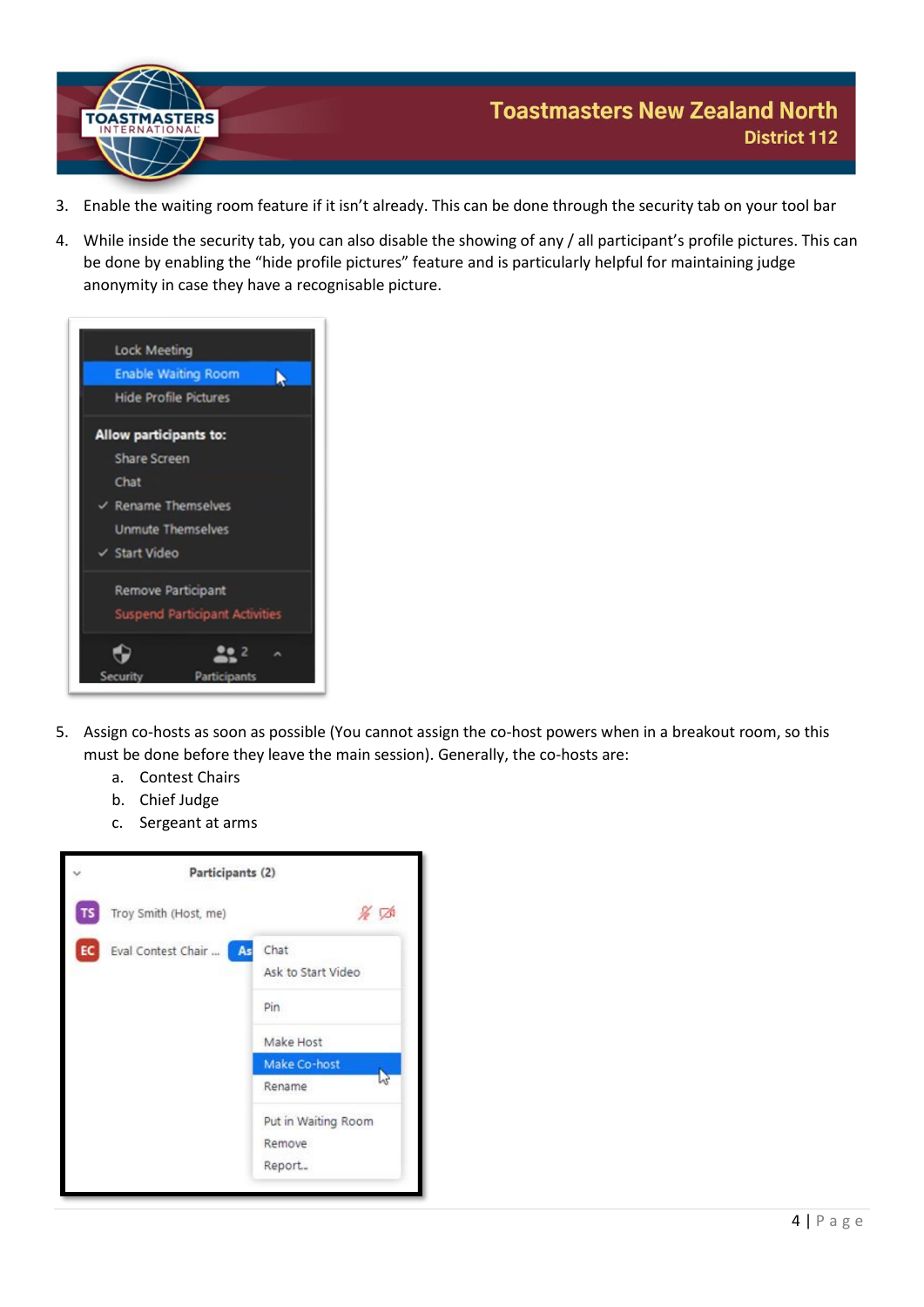

- 3. Enable the waiting room feature if it isn't already. This can be done through the security tab on your tool bar
- 4. While inside the security tab, you can also disable the showing of any / all participant's profile pictures. This can be done by enabling the "hide profile pictures" feature and is particularly helpful for maintaining judge anonymity in case they have a recognisable picture.



- 5. Assign co-hosts as soon as possible (You cannot assign the co-host powers when in a breakout room, so this must be done before they leave the main session). Generally, the co-hosts are:
	- a. Contest Chairs
	- b. Chief Judge
	- c. Sergeant at arms

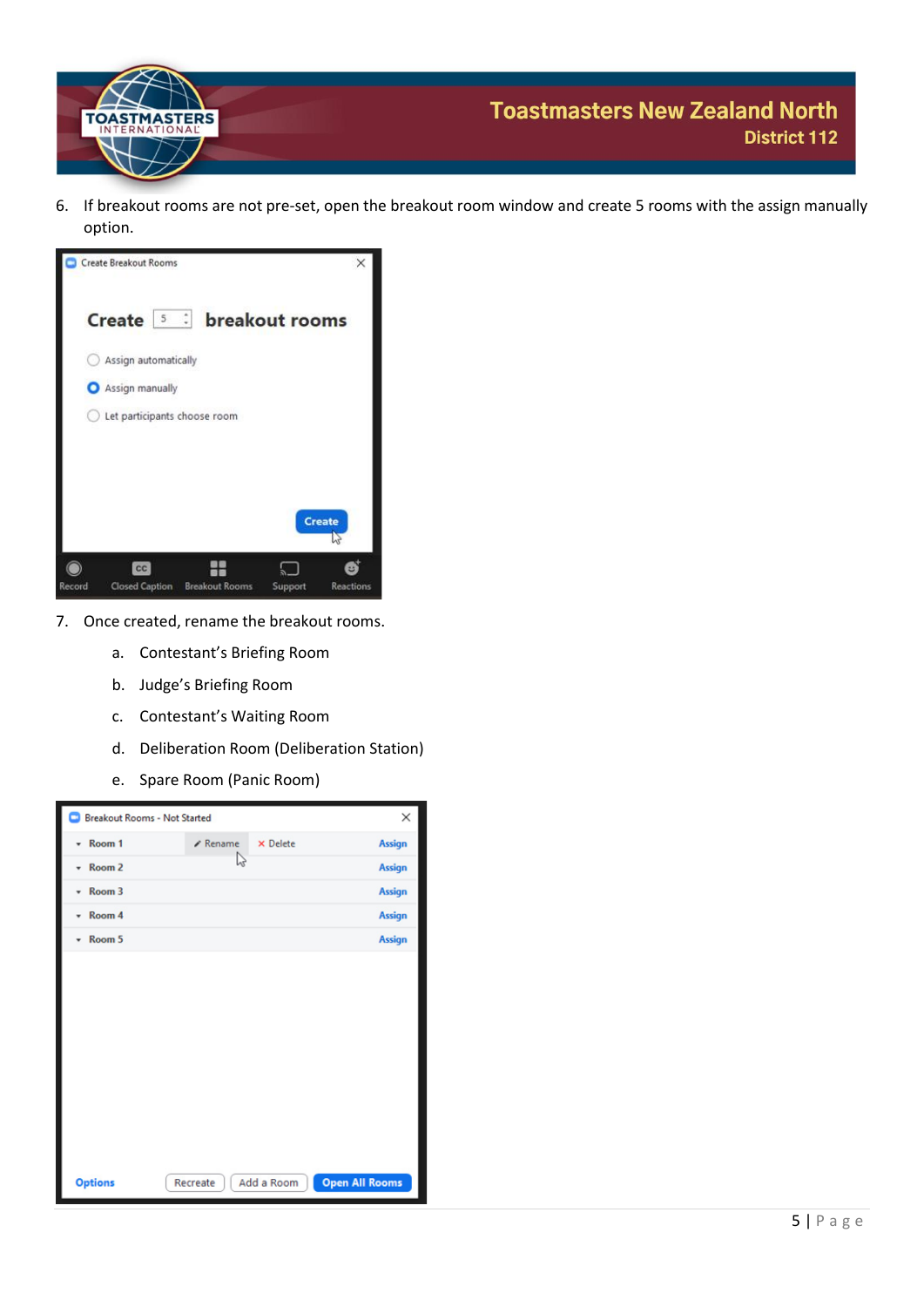

6. If breakout rooms are not pre-set, open the breakout room window and create 5 rooms with the assign manually option.



- 7. Once created, rename the breakout rooms.
	- a. Contestant's Briefing Room
	- b. Judge's Briefing Room
	- c. Contestant's Waiting Room
	- d. Deliberation Room (Deliberation Station)
	- e. Spare Room (Panic Room)

| <b>Breakout Rooms - Not Started</b> |                 |                 | $\times$              |
|-------------------------------------|-----------------|-----------------|-----------------------|
| * Room 1                            | $\angle$ Rename | <b>×</b> Delete | <b>Assign</b>         |
| Room2                               | hş              |                 | <b>Assign</b>         |
| $\sqrt{R}$ Room 3                   |                 |                 | <b>Assign</b>         |
| * Room 4                            |                 |                 | <b>Assign</b>         |
| $\sqrt{3}$ Room 5                   |                 |                 | <b>Assign</b>         |
|                                     |                 |                 |                       |
| <b>Options</b>                      | Recreate        | Add a Room      | <b>Open All Rooms</b> |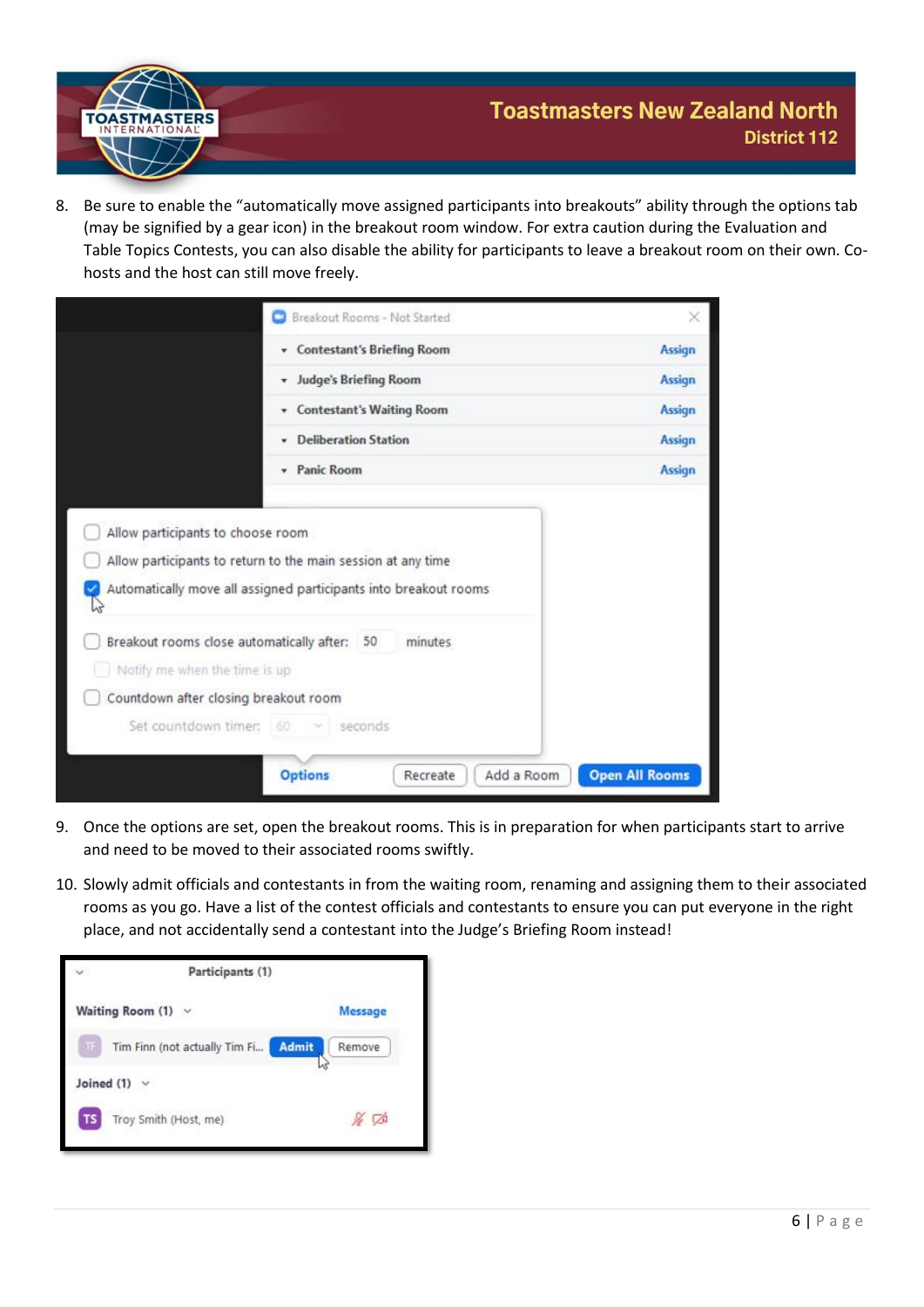

8. Be sure to enable the "automatically move assigned participants into breakouts" ability through the options tab (may be signified by a gear icon) in the breakout room window. For extra caution during the Evaluation and Table Topics Contests, you can also disable the ability for participants to leave a breakout room on their own. Cohosts and the host can still move freely.

|                               | Breakout Rooms - Not Started                                     | ×             |
|-------------------------------|------------------------------------------------------------------|---------------|
|                               | <b>Contestant's Briefing Room</b><br>۰                           | <b>Assign</b> |
|                               | <b>Judge's Briefing Room</b><br>۰                                | <b>Assign</b> |
|                               | <b>Contestant's Waiting Room</b><br>۰                            | <b>Assign</b> |
|                               | <b>Deliberation Station</b>                                      | <b>Assign</b> |
|                               | Panic Room<br>۰.                                                 | <b>Assign</b> |
|                               | Allow participants to return to the main session at any time     |               |
| hì                            | Automatically move all assigned participants into breakout rooms |               |
| Notify me when the time is up | Breakout rooms close automatically after:<br>50<br>minutes       |               |
|                               | Countdown after closing breakout room                            |               |
| Set countdown timer: 60       | seconds                                                          |               |

- 9. Once the options are set, open the breakout rooms. This is in preparation for when participants start to arrive and need to be moved to their associated rooms swiftly.
- 10. Slowly admit officials and contestants in from the waiting room, renaming and assigning them to their associated rooms as you go. Have a list of the contest officials and contestants to ensure you can put everyone in the right place, and not accidentally send a contestant into the Judge's Briefing Room instead!

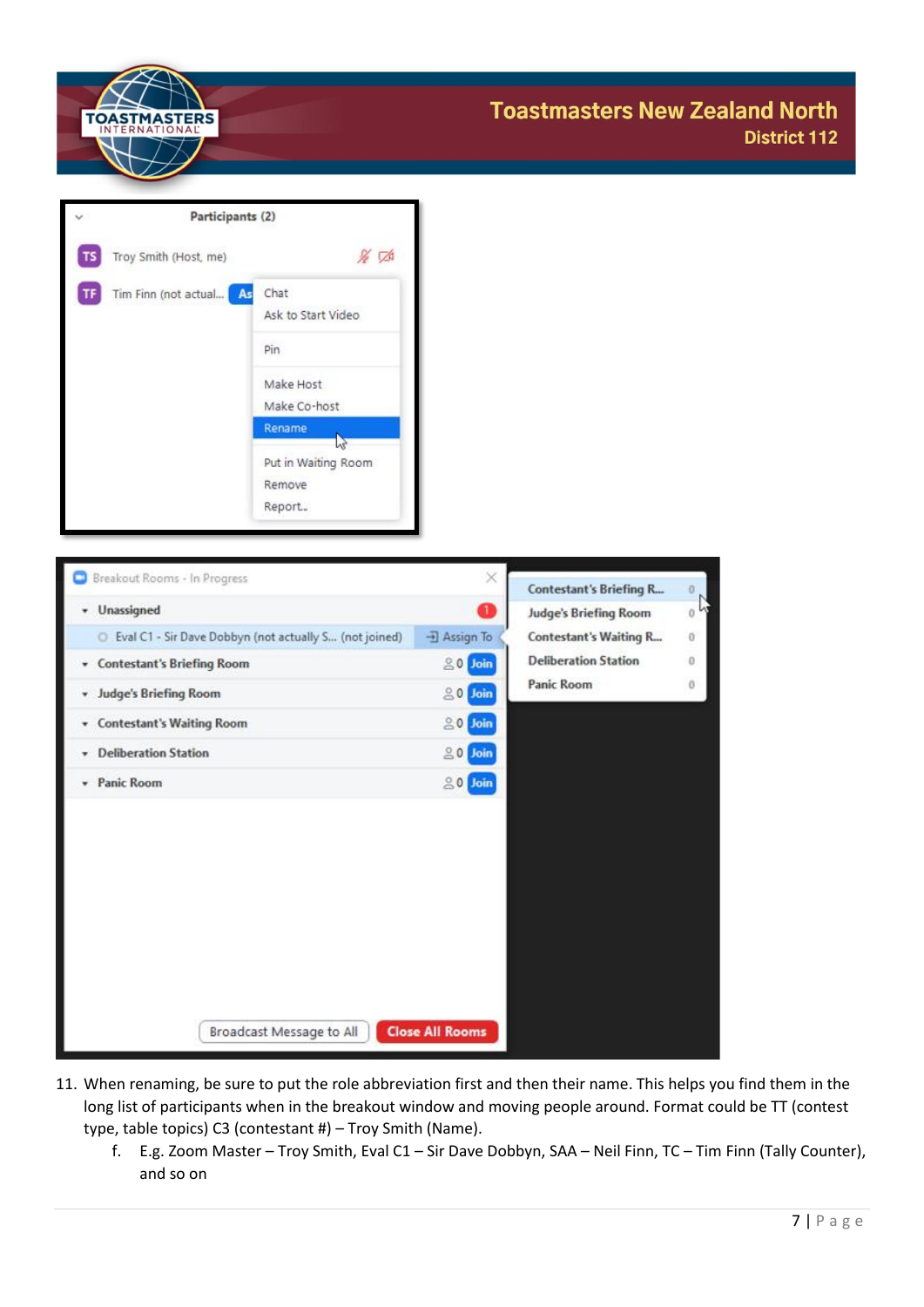

|    | Participants (2)        |                            |  |  |
|----|-------------------------|----------------------------|--|--|
|    | Troy Smith (Host, me)   | & D                        |  |  |
| ΤF | Tim Finn (not actual As | Chat<br>Ask to Start Video |  |  |
|    |                         | Pin                        |  |  |
|    |                         | Make Host                  |  |  |
|    |                         | Make Co-host               |  |  |
|    |                         | Rename                     |  |  |
|    |                         | Put in Waiting Room        |  |  |
|    |                         | Remove                     |  |  |
|    |                         | Report                     |  |  |

| Breakout Rooms - In Progress                             | $\times$               | <b>Contestant's Briefing R</b> | D. |
|----------------------------------------------------------|------------------------|--------------------------------|----|
| v Unassigned                                             | O                      | <b>Judge's Briefing Room</b>   | 0  |
| C Eval C1 - Sir Dave Dobbyn (not actually S (not joined) | <b>J</b> Assign To     | <b>Contestant's Waiting R</b>  | 0  |
| <b>Contestant's Briefing Room</b><br>۰.                  | 80<br>Join             | <b>Deliberation Station</b>    | 0  |
| <b>Judge's Briefing Room</b><br>۰                        | $20$ Join              | Panic Room                     | 0  |
| <b>Contestant's Waiting Room</b><br>v.                   | $\geq 0$<br>Join       |                                |    |
| <b>Deliberation Station</b><br>۰                         | 80<br>Join             |                                |    |
| * Panic Room                                             | $20$ Join              |                                |    |
| Broadcast Message to All                                 | <b>Close All Rooms</b> |                                |    |

- 11. When renaming, be sure to put the role abbreviation first and then their name. This helps you find them in the long list of participants when in the breakout window and moving people around. Format could be TT (contest type, table topics) C3 (contestant #) – Troy Smith (Name).
	- f. E.g. Zoom Master Troy Smith, Eval C1 Sir Dave Dobbyn, SAA Neil Finn, TC Tim Finn (Tally Counter), and so on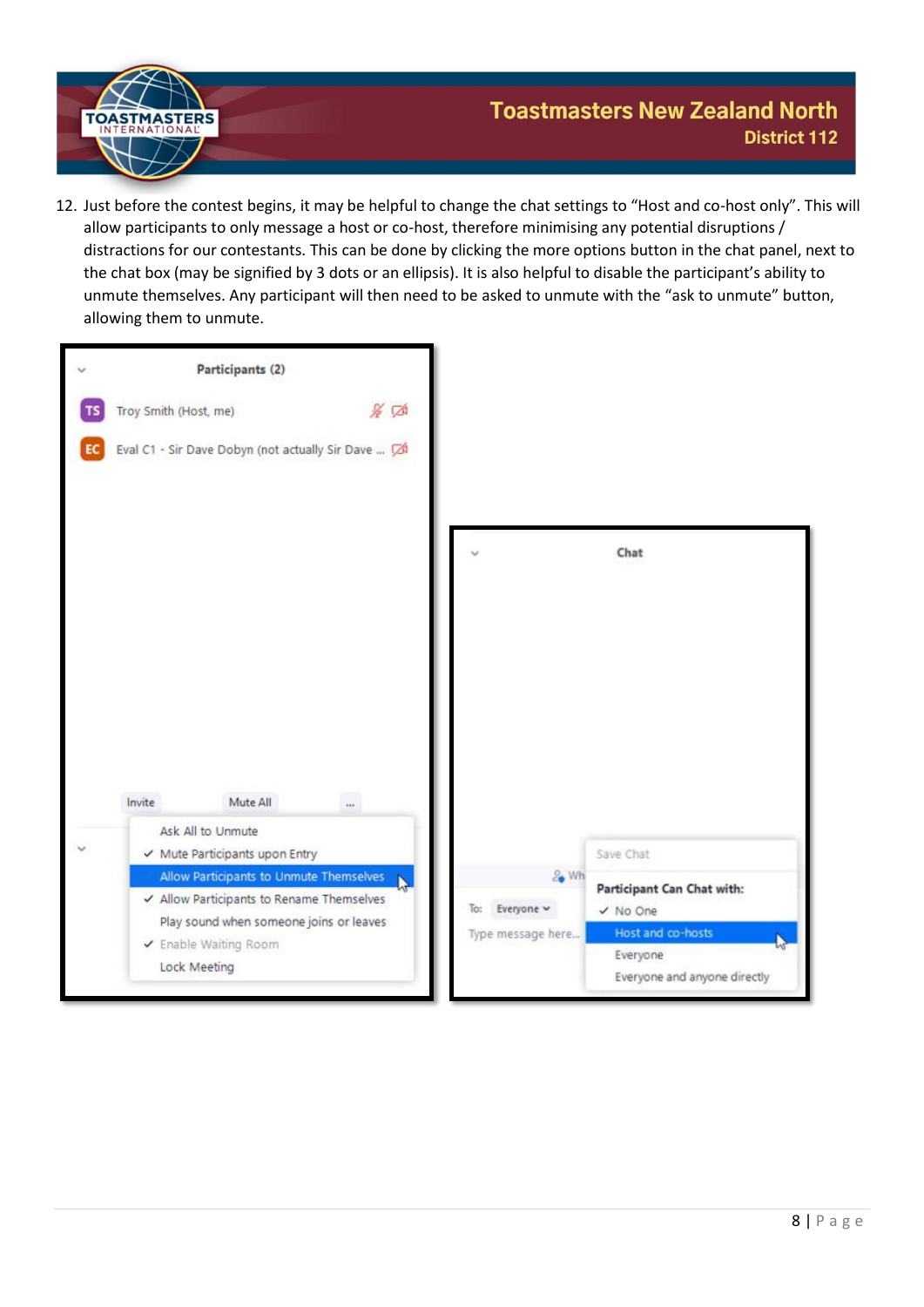

12. Just before the contest begins, it may be helpful to change the chat settings to "Host and co-host only". This will allow participants to only message a host or co-host, therefore minimising any potential disruptions / distractions for our contestants. This can be done by clicking the more options button in the chat panel, next to the chat box (may be signified by 3 dots or an ellipsis). It is also helpful to disable the participant's ability to unmute themselves. Any participant will then need to be asked to unmute with the "ask to unmute" button, allowing them to unmute.

| $\overline{\phantom{a}}$ |        | Participants (2)                                                                                                                                                         |       |     |                                         |                                                                                                         |
|--------------------------|--------|--------------------------------------------------------------------------------------------------------------------------------------------------------------------------|-------|-----|-----------------------------------------|---------------------------------------------------------------------------------------------------------|
| EC                       |        | Troy Smith (Host, me)<br>Eval C1 - Sir Dave Dobyn (not actually Sir Dave  74                                                                                             | 16 50 |     |                                         |                                                                                                         |
|                          |        |                                                                                                                                                                          |       |     |                                         | Chat                                                                                                    |
|                          | Invite | $\sim$<br>Mute All                                                                                                                                                       |       |     |                                         |                                                                                                         |
| $\checkmark$             |        | Ask All to Unmute<br>← Mute Participants upon Entry                                                                                                                      |       |     |                                         | Save Chat                                                                                               |
|                          |        | Allow Participants to Unmute Themselves<br>✔ Allow Participants to Rename Themselves<br>Play sound when someone joins or leaves<br>✔ Enable Waiting Room<br>Lock Meeting |       | To: | & Wh<br>Everyone ~<br>Type message here | Participant Can Chat with:<br>√ No One<br>Host and co-hosts<br>Everyone<br>Everyone and anyone directly |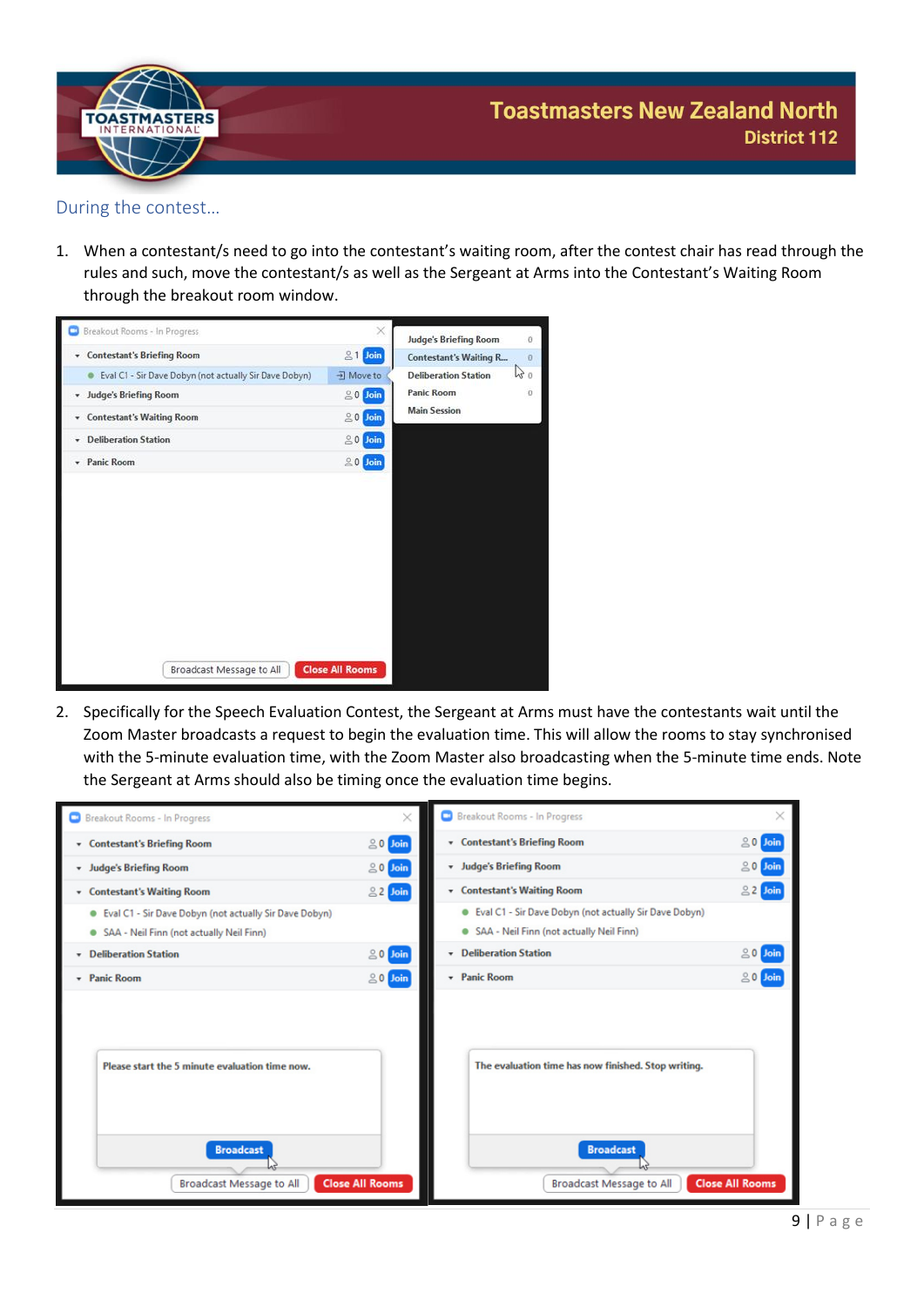

#### <span id="page-9-0"></span>During the contest…

1. When a contestant/s need to go into the contestant's waiting room, after the contest chair has read through the rules and such, move the contestant/s as well as the Sergeant at Arms into the Contestant's Waiting Room through the breakout room window.



2. Specifically for the Speech Evaluation Contest, the Sergeant at Arms must have the contestants wait until the Zoom Master broadcasts a request to begin the evaluation time. This will allow the rooms to stay synchronised with the 5-minute evaluation time, with the Zoom Master also broadcasting when the 5-minute time ends. Note the Sergeant at Arms should also be timing once the evaluation time begins.

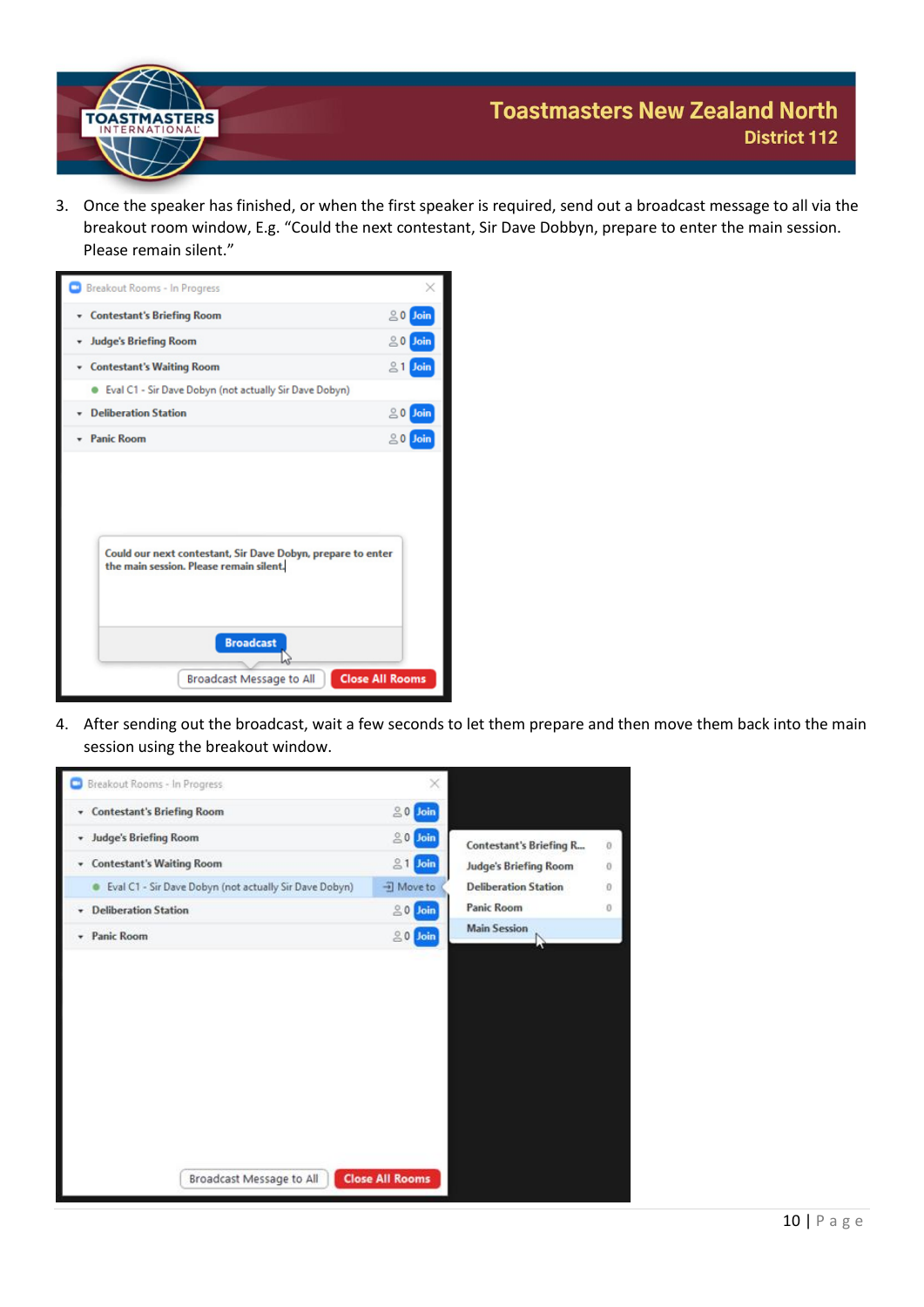

3. Once the speaker has finished, or when the first speaker is required, send out a broadcast message to all via the breakout room window, E.g. "Could the next contestant, Sir Dave Dobbyn, prepare to enter the main session. Please remain silent."



4. After sending out the broadcast, wait a few seconds to let them prepare and then move them back into the main session using the breakout window.

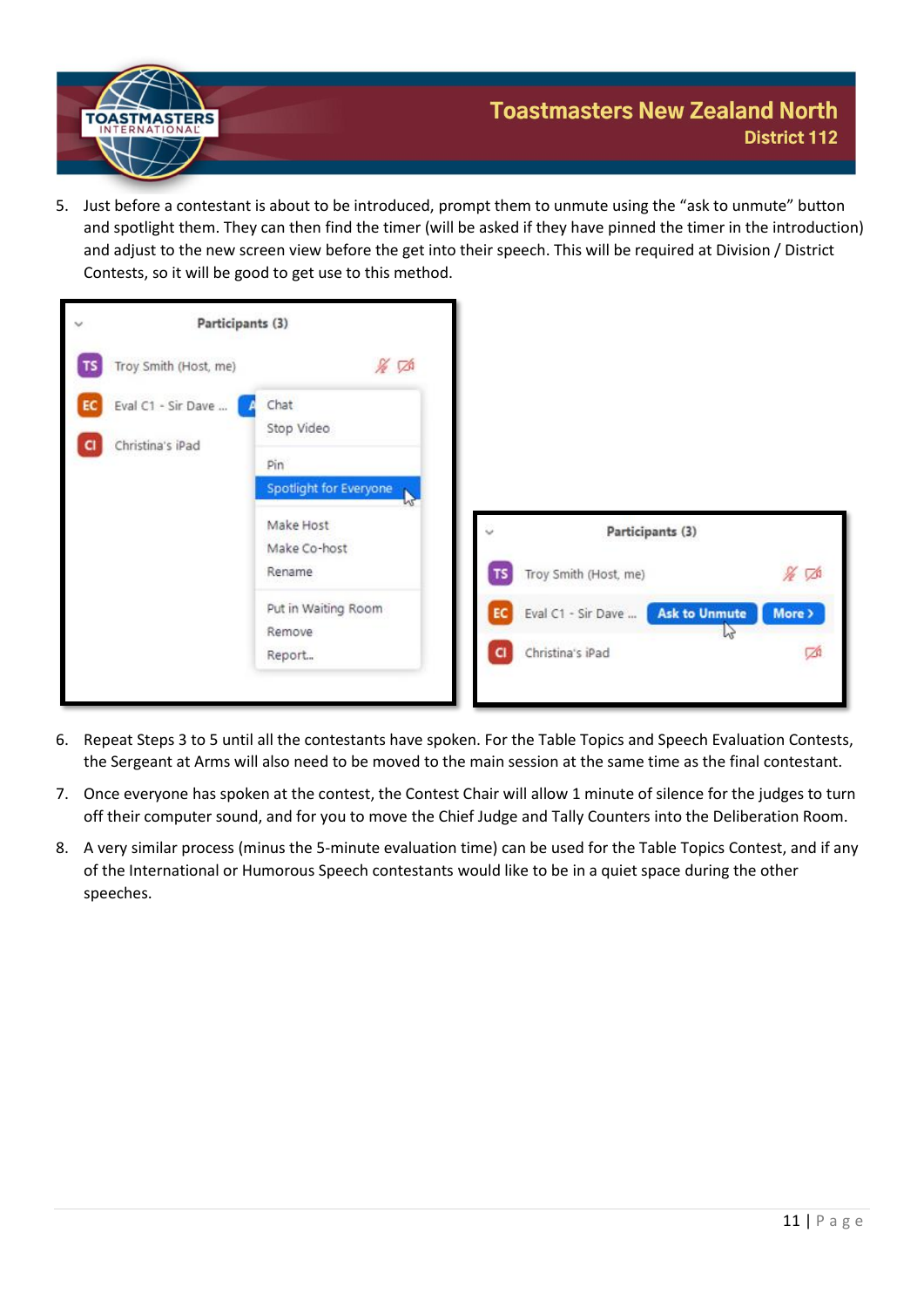

5. Just before a contestant is about to be introduced, prompt them to unmute using the "ask to unmute" button and spotlight them. They can then find the timer (will be asked if they have pinned the timer in the introduction) and adjust to the new screen view before the get into their speech. This will be required at Division / District Contests, so it will be good to get use to this method.



- 6. Repeat Steps 3 to 5 until all the contestants have spoken. For the Table Topics and Speech Evaluation Contests, the Sergeant at Arms will also need to be moved to the main session at the same time as the final contestant.
- 7. Once everyone has spoken at the contest, the Contest Chair will allow 1 minute of silence for the judges to turn off their computer sound, and for you to move the Chief Judge and Tally Counters into the Deliberation Room.
- 8. A very similar process (minus the 5-minute evaluation time) can be used for the Table Topics Contest, and if any of the International or Humorous Speech contestants would like to be in a quiet space during the other speeches.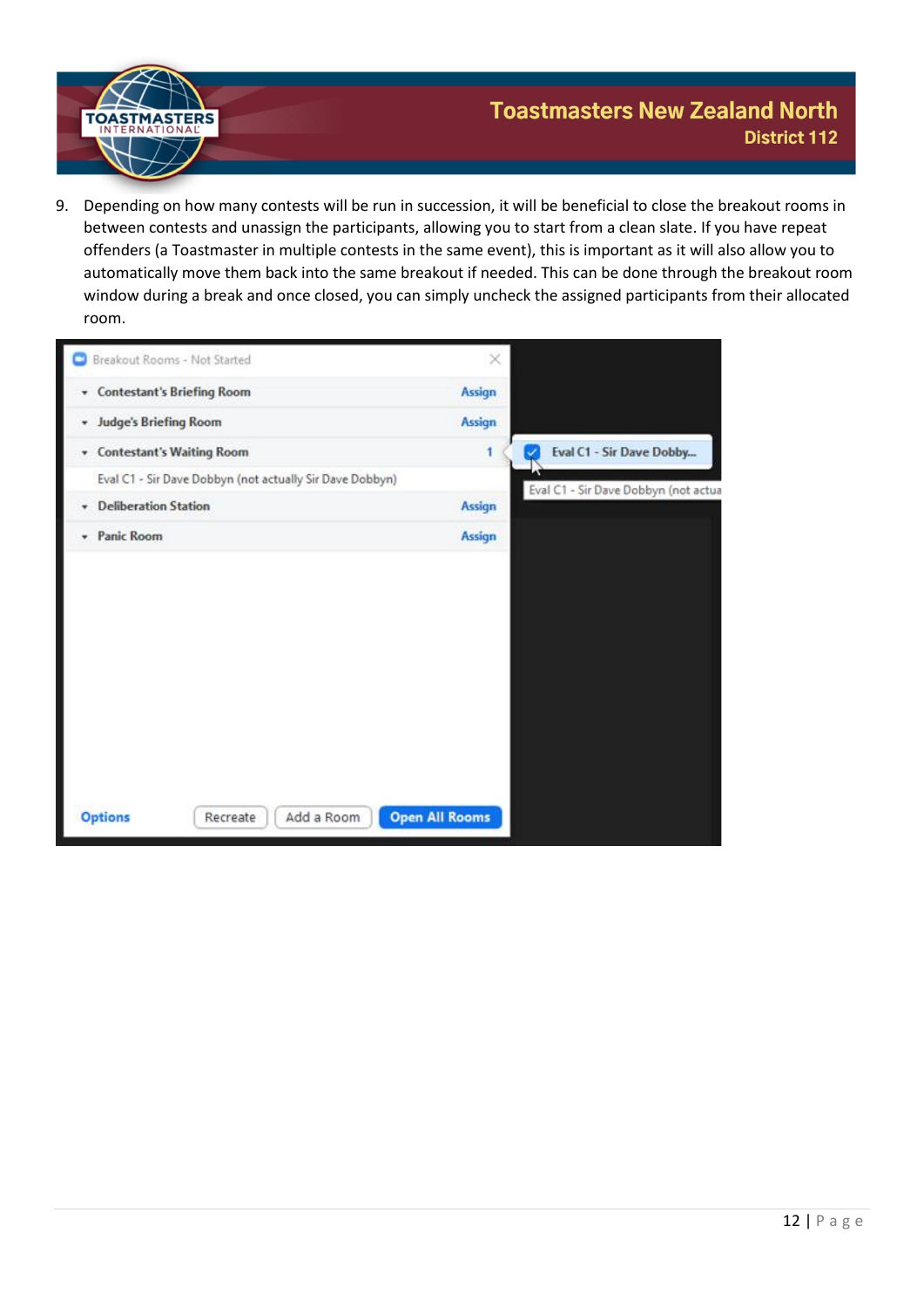

9. Depending on how many contests will be run in succession, it will be beneficial to close the breakout rooms in between contests and unassign the participants, allowing you to start from a clean slate. If you have repeat offenders (a Toastmaster in multiple contests in the same event), this is important as it will also allow you to automatically move them back into the same breakout if needed. This can be done through the breakout room window during a break and once closed, you can simply uncheck the assigned participants from their allocated room.

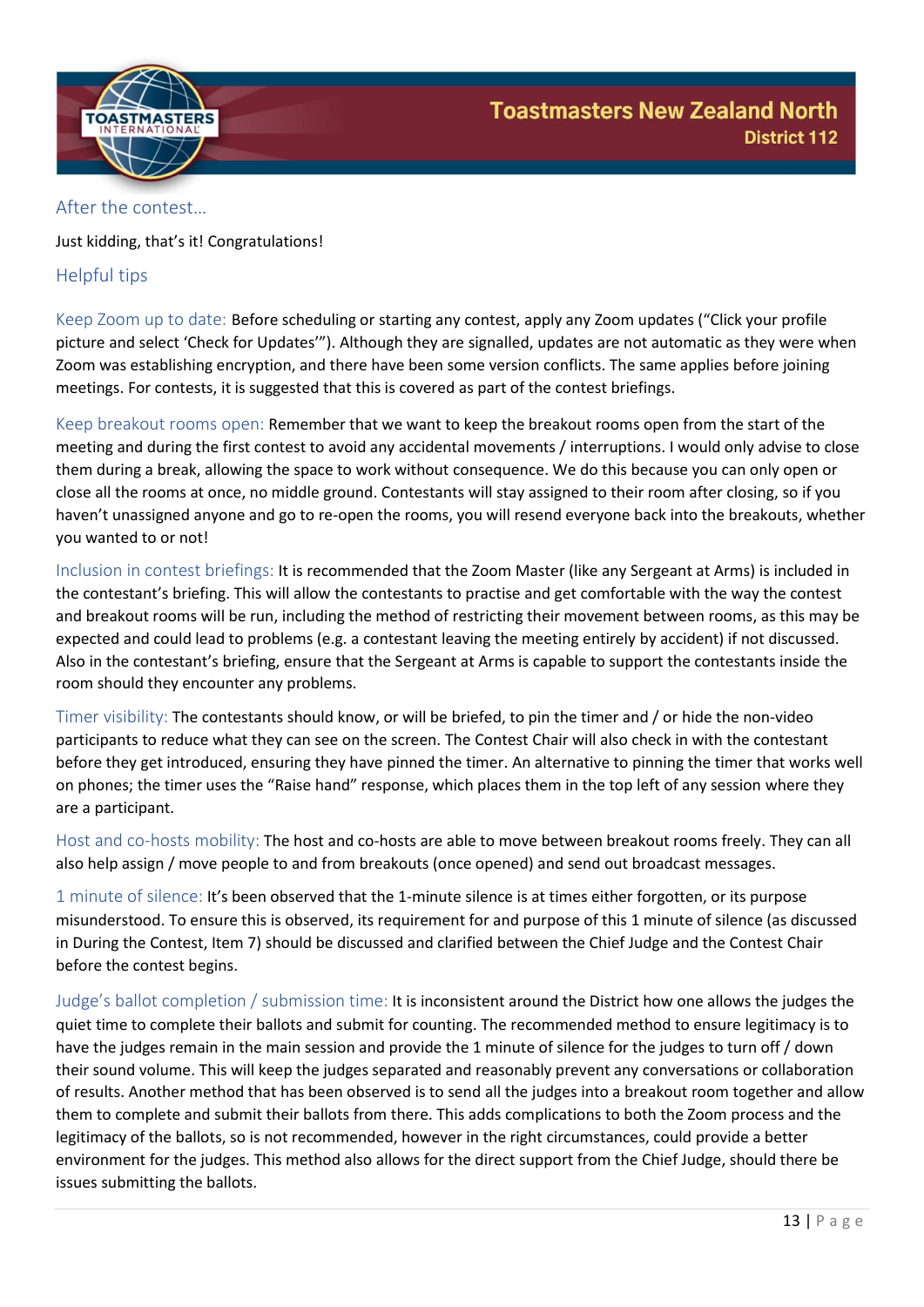

#### <span id="page-13-0"></span>After the contest…

Just kidding, that's it! Congratulations!

### <span id="page-13-1"></span>Helpful tips

Keep Zoom up to date: Before scheduling or starting any contest, apply any Zoom updates ("Click your profile picture and select 'Check for Updates'"). Although they are signalled, updates are not automatic as they were when Zoom was establishing encryption, and there have been some version conflicts. The same applies before joining meetings. For contests, it is suggested that this is covered as part of the contest briefings.

Keep breakout rooms open: Remember that we want to keep the breakout rooms open from the start of the meeting and during the first contest to avoid any accidental movements / interruptions. I would only advise to close them during a break, allowing the space to work without consequence. We do this because you can only open or close all the rooms at once, no middle ground. Contestants will stay assigned to their room after closing, so if you haven't unassigned anyone and go to re-open the rooms, you will resend everyone back into the breakouts, whether you wanted to or not!

Inclusion in contest briefings: It is recommended that the Zoom Master (like any Sergeant at Arms) is included in the contestant's briefing. This will allow the contestants to practise and get comfortable with the way the contest and breakout rooms will be run, including the method of restricting their movement between rooms, as this may be expected and could lead to problems (e.g. a contestant leaving the meeting entirely by accident) if not discussed. Also in the contestant's briefing, ensure that the Sergeant at Arms is capable to support the contestants inside the room should they encounter any problems.

Timer visibility: The contestants should know, or will be briefed, to pin the timer and / or hide the non-video participants to reduce what they can see on the screen. The Contest Chair will also check in with the contestant before they get introduced, ensuring they have pinned the timer. An alternative to pinning the timer that works well on phones; the timer uses the "Raise hand" response, which places them in the top left of any session where they are a participant.

Host and co-hosts mobility: The host and co-hosts are able to move between breakout rooms freely. They can all also help assign / move people to and from breakouts (once opened) and send out broadcast messages.

1 minute of silence: It's been observed that the 1-minute silence is at times either forgotten, or its purpose misunderstood. To ensure this is observed, its requirement for and purpose of this 1 minute of silence (as discussed in During the Contest, Item 7) should be discussed and clarified between the Chief Judge and the Contest Chair before the contest begins.

Judge's ballot completion / submission time: It is inconsistent around the District how one allows the judges the quiet time to complete their ballots and submit for counting. The recommended method to ensure legitimacy is to have the judges remain in the main session and provide the 1 minute of silence for the judges to turn off / down their sound volume. This will keep the judges separated and reasonably prevent any conversations or collaboration of results. Another method that has been observed is to send all the judges into a breakout room together and allow them to complete and submit their ballots from there. This adds complications to both the Zoom process and the legitimacy of the ballots, so is not recommended, however in the right circumstances, could provide a better environment for the judges. This method also allows for the direct support from the Chief Judge, should there be issues submitting the ballots.